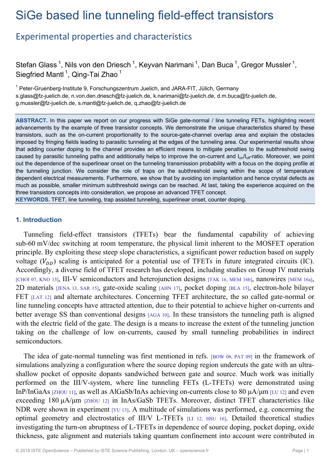# SiGe based line tunneling field-effect transistors

# Experimental properties and characteristics

Stefan Glass<sup>1</sup>, Nils von den Driesch<sup>1</sup>, Keyvan Narimani<sup>1</sup>, Dan Buca<sup>1</sup>, Gregor Mussler<sup>1</sup>, Siegfried Mantl<sup>1</sup>, Qing-Tai Zhao<sup>1</sup>

<sup>1</sup> Peter-Gruenberg-Institute 9, Forschungszentrum Juelich, and JARA-FIT, Jülich, Germany s.glass@fz-juelich.de, n.von.den.driesch@fz-juelich.de, k.narimani@fz-juelich.de, d.m.buca@fz-juelich.de, g.mussler@fz-juelich.de, s.mantl@fz-juelich.de, q.zhao@fz-juelich.de

**ABSTRACT.** In this paper we report on our progress with SiGe gate-normal / line tunneling FETs, highlighting recent advancements by the example of three transistor concepts. We demonstrate the unique characteristics shared by these transistors, such as the on-current proportionality to the source-gate-channel overlap area and explain the obstacles imposed by fringing fields leading to parasitic tunneling at the edges of the tunneling area. Our experimental results show that adding counter doping to the channel provides an efficient means to mitigate penalties to the subthreshold swing caused by parasitic tunneling paths and additionally helps to improve the on-current and I<sub>on</sub>/I<sub>off</sub>-ratio. Moreover, we point out the dependence of the superlinear onset on the tunneling transmission probability with a focus on the doping profile at the tunneling junction. We consider the role of traps on the subthreshold swing within the scope of temperature dependent electrical measurements. Furthermore, we show that by avoiding ion implantation and hence crystal defects as much as possible, smaller minimum subthreshold swings can be reached. At last, taking the experience acquired on the three transistors concepts into consideration, we propose an advanced TFET concept.

**KEYWORDS.** TFET, line tunneling, trap assisted tunneling, superlinear onset, counter doping.

# **1. Introduction**

Tunneling field-effect transistors (TFETs) bear the fundamental capability of achieving sub-60 mV/dec switching at room temperature, the physical limit inherent to the MOSFET operation principle. By exploiting these steep slope characteristics, a significant power reduction based on supply voltage  $(V_{DD})$  scaling is anticipated for a potential use of TFETs in future integrated circuits (IC). Accordingly, a diverse field of TFET research has developed, including studies on Group IV materials [CHOI 07, KNO 13], III-V semiconductors and heterojunction designs [TAK 16, MEM 16b], nanowires [MEM 16a], 2D materials [JENA 13, SAR 15], gate-oxide scaling [AHN 17], pocket doping [BLA 15], electron-hole bilayer FET [LAT 12] and alternate architectures. Concerning TFET architecture, the so called gate-normal or line tunneling concepts have attracted attention, due to their potential to achieve higher on-currents and better average SS than conventional designs [AGA 10]. In these transistors the tunneling path is aligned with the electric field of the gate. The design is a means to increase the extent of the tunneling junction taking on the challenge of low on-currents, caused by small tunneling probabilities in indirect semiconductors.

The idea of gate-normal tunneling was first mentioned in refs. [BOW 08, PAT 09] in the framework of simulations analyzing a configuration where the source doping region undercuts the gate with an ultrashallow pocket of opposite dopants sandwiched between gate and source. Much work was initially performed on the III/V-system, where line tunneling FETs (L-TFETs) were demonstrated using InP/InGaAs [ZHOU 11], as well as AlGaSb/InAs achieving on-currents close to 80 μA/μm [LU 12] and even exceeding 180 μA/μm [ZHOU 12] in InAs/GaSb TFETs. Moreover, distinct TFET characteristics like NDR were shown in experiment [YU 13]. A multitude of simulations was performed, e.g. concerning the optimal geometry and electrostatics of III/V L-TFETs [LI 12, HSU 16]. Detailed theoretical studies investigating the turn-on abruptness of L-TFETs in dependence of source doping, pocket doping, oxide thickness, gate alignment and materials taking quantum confinement into account were contributed in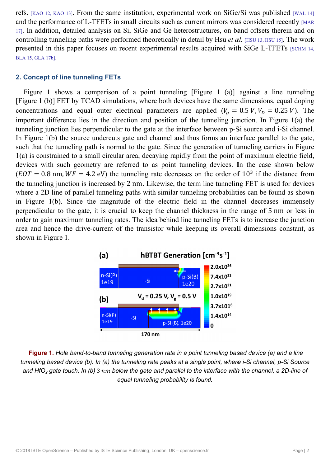refs. [KAO 12, KAO 13]. From the same institution, experimental work on SiGe/Si was published [WAL 14] and the performance of L-TFETs in small circuits such as current mirrors was considered recently MAR 17. In addition, detailed analysis on Si, SiGe and Ge heterostructures, on band offsets therein and on controlling tunneling paths were performed theoretically in detail by Hsu et al. [HSU 13, HSU 15]. The work presented in this paper focuses on recent experimental results acquired with SiGe L-TFETs [SCHM 14, BLA 15, GLA 17b].

#### 2. Concept of line tunneling FETs

Figure 1 shows a comparison of a point tunneling [Figure 1 (a)] against a line tunneling [Figure 1 (b)] FET by TCAD simulations, where both devices have the same dimensions, equal doping concentrations and equal outer electrical parameters are applied  $(V<sub>g</sub> = 0.5 V, V<sub>D</sub> = 0.25 V)$ . The important difference lies in the direction and position of the tunneling junction. In Figure  $1(a)$  the tunneling junction lies perpendicular to the gate at the interface between p-Si source and i-Si channel. In Figure 1(b) the source undercuts gate and channel and thus forms an interface parallel to the gate, such that the tunneling path is normal to the gate. Since the generation of tunneling carriers in Figure 1(a) is constrained to a small circular area, decaying rapidly from the point of maximum electric field, devices with such geometry are referred to as point tunneling devices. In the case shown below  $EOT = 0.8$  nm,  $WF = 4.2$  eV) the tunneling rate decreases on the order of  $10^3$  if the distance from the tunneling junction is increased by 2 nm. Likewise, the term line tunneling FET is used for devices where a 2D line of parallel tunneling paths with similar tunneling probabilities can be found as shown in Figure 1(b). Since the magnitude of the electric field in the channel decreases immensely perpendicular to the gate, it is crucial to keep the channel thickness in the range of 5 nm or less in order to gain maximum tunneling rates. The idea behind line tunneling FETs is to increase the junction area and hence the drive-current of the transistor while keeping its overall dimensions constant, as shown in Figure 1.



Figure 1. Hole band-to-band tunneling generation rate in a point tunneling based device (a) and a line tunneling based device (b). In (a) the tunneling rate peaks at a single point, where i-Si channel, p-Si Source and HfO<sub>2</sub> gate touch. In (b) 3 nm below the gate and parallel to the interface with the channel, a 2D-line of equal tunneling probability is found.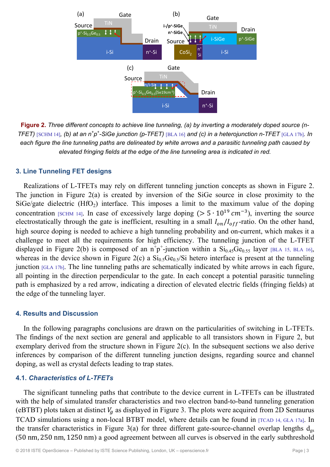

**Figure 2.** *Three different concepts to achieve line tunneling, (a) by inverting a moderately doped source (n-TFET*) [SCHM 14], (b) at an n<sup>+</sup>p<sup>+</sup>-SiGe junction (p-TFET) [BLA 16] and (c) in a heterojunction n-TFET [GLA 17b]. In *each figure the line tunneling paths are delineated by white arrows and a parasitic tunneling path caused by elevated fringing fields at the edge of the line tunneling area is indicated in red.* 

#### **3. Line Tunneling FET designs**

Realizations of L-TFETs may rely on different tunneling junction concepts as shown in Figure 2. The junction in Figure 2(a) is created by inversion of the SiGe source in close proximity to the SiGe/gate dielectric  $(HfO<sub>2</sub>)$  interface. This imposes a limit to the maximum value of the doping concentration [SCHM 14]. In case of excessively large doping ( $> 5 \cdot 10^{19}$  cm<sup>-3</sup>), inverting the source electrostatically through the gate is inefficient, resulting in a small  $I_{on}/I_{off}$ -ratio. On the other hand, high source doping is needed to achieve a high tunneling probability and on-current, which makes it a challenge to meet all the requirements for high efficiency. The tunneling junction of the L-TFET displayed in Figure 2(b) is composed of an  $n^+p^+$ -junction within a  $Si_{0.45}Ge_{0.55}$  layer [BLA 15, BLA 16], whereas in the device shown in Figure 2(c) a  $Si<sub>0.5</sub>Ge<sub>0.5</sub>/Si$  hetero interface is present at the tunneling junction [GLA 17b]. The line tunneling paths are schematically indicated by white arrows in each figure, all pointing in the direction perpendicular to the gate. In each concept a potential parasitic tunneling path is emphasized by a red arrow, indicating a direction of elevated electric fields (fringing fields) at the edge of the tunneling layer.

### **4. Results and Discussion**

In the following paragraphs conclusions are drawn on the particularities of switching in L-TFETs. The findings of the next section are general and applicable to all transistors shown in Figure 2, but exemplary derived from the structure shown in Figure 2(c). In the subsequent sections we also derive inferences by comparison of the different tunneling junction designs, regarding source and channel doping, as well as crystal defects leading to trap states.

#### **4.1.** *Characteristics of L-TFETs*

The significant tunneling paths that contribute to the device current in L-TFETs can be illustrated with the help of simulated transfer characteristics and two electron band-to-band tunneling generation (eBTBT) plots taken at distinct  $V_q$  as displayed in Figure 3. The plots were acquired from 2D Sentaurus TCAD simulations using a non-local BTBT model, where details can be found in [TCAD 14, GLA 17a]. In the transfer characteristics in Figure 3(a) for three different gate-source-channel overlap lengths  $d_{gs}$ (50 nm, 250 nm, 1250 nm) a good agreement between all curves is observed in the early subthreshold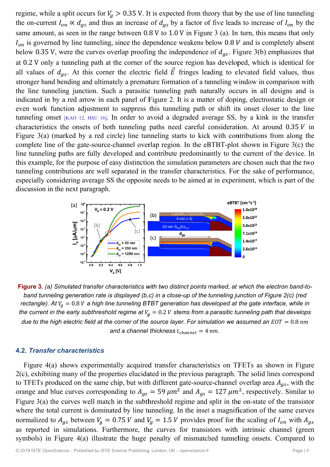regime, while a split occurs for  $V_g > 0.35$  V. It is expected from theory that by the use of line tunneling the on-current  $I_{on} \propto d_{gs}$  and thus an increase of  $d_{gs}$  by a factor of five leads to increase of  $I_{on}$  by the same amount, as seen in the range between 0.8 V to 1.0 V in Figure 3 (a). In turn, this means that only  $I_{on}$  is governed by line tunneling, since the dependence weakens below 0.8 V and is completely absent below 0.35 V, were the curves overlap proofing the independence of  $d_{gs}$ . Figure 3(b) emphasizes that at 0.2 V only a tunneling path at the corner of the source region has developed, which is identical for all values of  $d_{gs}$ . At this corner the electric field  $\vec{E}$  fringes leading to elevated field values, thus stronger band bending and ultimately a premature formation of a tunneling window in comparison with the line tunneling junction. Such a parasitic tunneling path naturally occurs in all designs and is indicated in by a red arrow in each panel of Figure 2. It is a matter of doping, electrostatic design or even work function adjustment to suppress this tunneling path or shift its onset closer to the line tunneling onset [KAO 12, HSU 16]. In order to avoid a degraded average SS, by a kink in the transfer characteristics the onsets of both tunneling paths need careful consideration. At around  $0.35 V$  in Figure  $3(a)$  (marked by a red circle) line tunneling starts to kick with contributions from along the complete line of the gate-source-channel overlap region. In the eBTBT-plot shown in Figure  $3(c)$  the line tunneling paths are fully developed and contribute predominantly to the current of the device. In this example, for the purpose of easy distinction the simulation parameters are chosen such that the two tunneling contributions are well separated in the transfer characteristics. For the sake of performance, especially considering average SS the opposite needs to be aimed at in experiment, which is part of the discussion in the next paragraph.



Figure 3. (a) Simulated transfer characteristics with two distinct points marked, at which the electron band-toband tunneling generation rate is displayed (b,c) in a close-up of the tunneling junction of Figure 2(c) (red rectangle). At  $V_a = 0.8 V$  a high line tunneling BTBT generation has developed at the gate interface, while in the current in the early subthreshold regime at  $V_a = 0.2 V$  stems from a parasitic tunneling path that develops due to the high electric field at the corner of the source layer. For simulation we assumed an  $EOT = 0.8$  nm and a channel thickness  $t_{channel} = 4 nm$ .

#### **4.2. Transfer characteristics**

Figure 4(a) shows experimentally acquired transfer characteristics on TFETs as shown in Figure  $2(c)$ , exhibiting many of the properties elucidated in the previous paragraph. The solid lines correspond to TFETs produced on the same chip, but with different gate-source-channel overlap area  $A_{as}$ , with the orange and blue curves corresponding to  $A_{gs} = 59 \ \mu m^2$  and  $A_{gs} = 127 \ \mu m^2$ , respectively. Similar to Figure  $3(a)$  the curves well match in the subthreshold regime and split in the on-state of the transistor where the total current is dominated by line tunneling. In the inset a magnification of the same curves normalized to  $A_{gs}$  between  $V_g = 0.75 V$  and  $V_g = 1.5 V$  provides proof for the scaling of  $I_{on}$  with  $A_{gs}$ as reported in simulations. Furthermore, the curves for transistors with intrinsic channel (green symbols) in Figure 4(a) illustrate the huge penalty of mismatched tunneling onsets. Compared to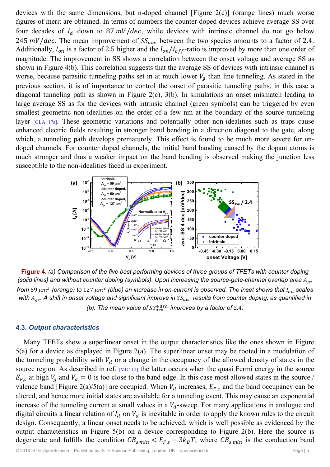devices with the same dimensions, but n-doped channel [Figure 2(c)] (orange lines) much worse figures of merit are obtained. In terms of numbers the counter doped devices achieve average SS over four decades of  $I_d$  down to 87 mV/dec, while devices with intrinsic channel do not go below 245  $mV/dec$ . The mean improvement of  $SS_{ave}$  between the two species amounts to a factor of 2.4. Additionally,  $I_{on}$  is a factor of 2.5 higher and the  $I_{on}/I_{off}$ -ratio is improved by more than one order of magnitude. The improvement in SS shows a correlation between the onset voltage and average SS as shown in Figure 4(b). This correlation suggests that the average SS of devices with intrinsic channel is worse, because parasitic tunneling paths set in at much lower  $V_q$  than line tunneling. As stated in the previous section, it is of importance to control the onset of parasitic tunneling paths, in this case a diagonal tunneling path as shown in Figure 2(c), 3(b). In simulations an onset mismatch leading to large average SS as for the devices with intrinsic channel (green symbols) can be triggered by even smallest geometric non-idealities on the order of a few nm at the boundary of the source tunneling layer [GLA 17a]. These geometric variations and potentially other non-idealities such as traps cause enhanced electric fields resulting in stronger band bending in a direction diagonal to the gate, along which, a tunneling path develops prematurely. This effect is found to be much more severe for undoped channels. For counter doped channels, the initial band banding caused by the dopant atoms is much stronger and thus a weaker impact on the band bending is observed making the junction less susceptible to the non-idealities faced in experiment.



**Figure 4.** *(a) Comparison of the five best performing devices of three groups of TFETs with counter doping (solid lines) and without counter doping (symbols). Upon increasing the source-gate-channel overlap area*  $A_{gs}$ *from* 59  $\mu$ m<sup>2</sup> (orange) to 127  $\mu$ m<sup>2</sup> (blue) an increase in on-current is observed. The inset shows that  $I_{on}$  scales with  $A_{gs}$ . A shift in onset voltage and significant improve in  $SS_{ave}$  results from counter doping, as quantified in (b). The mean value of  $SS_{ave}^{4\text{ dec.}}$  improves by a factor of 2.4.

#### **4.3.** *Output characteristics*

Many TFETs show a superlinear onset in the output characteristics like the ones shown in Figure 5(a) for a device as displayed in Figure 2(a). The superlinear onset may be rooted in a modulation of the tunneling probability with  $V_d$  or a change in the occupancy of the allowed density of states in the source region. As described in ref. [MIC 12] the latter occurs when the quasi Fermi energy in the source  $E_{F,s}$  at high  $V_g$  and  $V_d = 0$  is too close to the band edge. In this case most allowed states in the source / valence band [Figure 2(a)/5(a)] are occupied. When  $V_d$  increases,  $E_{F,s}$  and the band occupancy can be altered, and hence more initial states are available for a tunneling event. This may cause an exponential increase of the tunneling current at small values in a  $V<sub>d</sub>$ -sweep. For many applications in analogue and digital circuits a linear relation of  $I_d$  on  $V_d$  is inevitable in order to apply the known rules to the circuit design. Consequently, a linear onset needs to be achieved, which is well possible as evidenced by the output characteristics in Figure 5(b) on a device corresponding to Figure 2(b). Here the source is degenerate and fulfills the condition  $CB_{s,min} < E_{F,s} - 3k_BT$ , where  $CB_{s,min}$  is the conduction band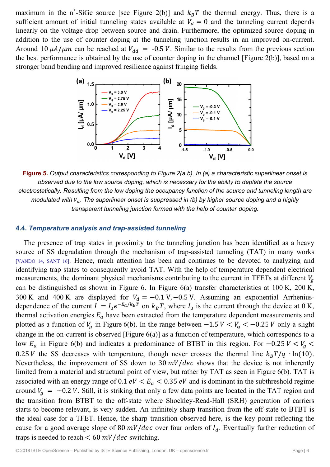maximum in the n<sup>+</sup>-SiGe source [see Figure 2(b)] and  $k_B T$  the thermal energy. Thus, there is a sufficient amount of initial tunneling states available at  $V_d = 0$  and the tunneling current depends linearly on the voltage drop between source and drain. Furthermore, the optimized source doping in addition to the use of counter doping at the tunneling junction results in an improved on-current. Around 10  $\mu$ A/ $\mu$ m can be reached at  $V_{dd} = -0.5 V$ . Similar to the results from the previous section the best performance is obtained by the use of counter doping in the channel [Figure 2(b)], based on a stronger band bending and improved resilience against fringing fields.



Figure 5. Output characteristics corresponding to Figure 2(a,b). In (a) a characteristic superlinear onset is observed due to the low source doping, which is necessary for the ability to deplete the source electrostatically. Resulting from the low doping the occupancy function of the source and tunneling length are modulated with  $V_d$ . The superlinear onset is suppressed in (b) by higher source doping and a highly transparent tunneling junction formed with the help of counter doping.

#### 4.4. Temperature analysis and trap-assisted tunneling

The presence of trap states in proximity to the tunneling junction has been identified as a heavy source of SS degradation through the mechanism of trap-assisted tunneling (TAT) in many works [VANDO 14, SANT 16]. Hence, much attention has been and continues to be devoted to analyzing and identifying trap states to consequently avoid TAT. With the help of temperature dependent electrical measurements, the dominant physical mechanisms contributing to the current in TFETs at different  $V_q$ can be distinguished as shown in Figure 6. In Figure  $6(a)$  transfer characteristics at  $100 K$ ,  $200 K$ , 300 K and 400 K are displayed for  $V_d = -0.1$  V,  $-0.5$  V. Assuming an exponential Arrheniusdependence of the current  $I = I_0 e^{-E_a/k_B T}$  on  $k_B T$ , where  $I_0$  is the current through the device at 0 K, thermal activation energies  $E_a$  have been extracted from the temperature dependent measurements and plotted as a function of  $V_a$  in Figure 6(b). In the range between  $-1.5 V < V_a < -0.25 V$  only a slight change in the on-current is observed [Figure  $6(a)$ ] as a function of temperature, which corresponds to a low  $E_a$  in Figure 6(b) and indicates a predominance of BTBT in this region. For -0.25  $V < V_g <$ 0.25 V the SS decreases with temperature, though never crosses the thermal line  $k_B T/q \cdot \ln(10)$ . Nevertheless, the improvement of SS down to  $30 \frac{mV}{dec}$  shows that the device is not inherently limited from a material and structural point of view, but rather by TAT as seen in Figure 6(b). TAT is associated with an energy range of 0.1  $eV < E_a < 0.35 eV$  and is dominant in the subthreshold regime around  $V_a = -0.2 V$ . Still, it is striking that only a few data points are located in the TAT region and the transition from BTBT to the off-state where Shockley-Read-Hall (SRH) generation of carriers starts to become relevant, is very sudden. An infinitely sharp transition from the off-state to BTBT is the ideal case for a TFET. Hence, the sharp transition observed here, is the key point reflecting the cause for a good average slope of 80  $mV/dec$  over four orders of  $I<sub>d</sub>$ . Eventually further reduction of traps is needed to reach  $\lt 60$  mV/dec switching.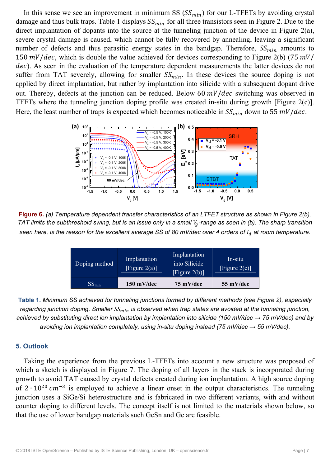In this sense we see an improvement in minimum SS  $(SS<sub>min</sub>)$  for our L-TFETs by avoiding crystal damage and thus bulk traps. Table 1 displays  $SS_{min}$  for all three transistors seen in Figure 2. Due to the direct implantation of dopants into the source at the tunneling junction of the device in Figure 2(a), severe crystal damage is caused, which cannot be fully recovered by annealing, leaving a significant number of defects and thus parasitic energy states in the bandgap. Therefore,  $SS_{min}$  amounts to 150  $mV/dec$ , which is double the value achieved for devices corresponding to Figure 2(b) (75  $mV/$ dec). As seen in the evaluation of the temperature dependent measurements the latter devices do not suffer from TAT severely, allowing for smaller  $SS_{min}$ . In these devices the source doping is not applied by direct implantation, but rather by implantation into silicide with a subsequent dopant drive out. Thereby, defects at the junction can be reduced. Below 60  $mV/dec$  switching was observed in TFETs where the tunneling junction doping profile was created in-situ during growth [Figure 2(c)]. Here, the least number of traps is expected which becomes noticeable in  $SS_{min}$  down to 55  $mV/dec$ .



**Figure 6.** *(a) Temperature dependent transfer characteristics of an LTFET structure as shown in Figure 2(b). TAT limits the subthreshold swing, but is an issue only in a small V<sub>g</sub>-range as seen in (b). The sharp transition seen here, is the reason for the excellent average SS of 80 mV/dec over 4 orders of*  $I_d$  *at room temperature.* 

| Doping method<br>$SS_{\min}$ | Implantation<br>[Figure $2(a)$ ]<br>$150$ mV/dec | into Silicide<br>[Figure $2(b)$ ]<br>$75 \text{ mV/dec}$ | [Figure $2(c)$ ]<br>55 mV/dec |
|------------------------------|--------------------------------------------------|----------------------------------------------------------|-------------------------------|
|                              |                                                  | Implantation                                             | In-situ                       |

**Table 1.** *Minimum SS achieved for tunneling junctions formed by different methods (see Figure 2), especially regarding junction doping. Smaller*  $SS_{min}$  *is observed when trap states are avoided at the tunneling junction, achieved by substituting direct ion implantation by implantation into silicide (150 mV/dec → 75 mV/dec) and by avoiding ion implantation completely, using in-situ doping instead (75 mV/dec → 55 mV/dec).* 

# **5. Outlook**

Taking the experience from the previous L-TFETs into account a new structure was proposed of which a sketch is displayed in Figure 7. The doping of all layers in the stack is incorporated during growth to avoid TAT caused by crystal defects created during ion implantation. A high source doping of  $2 \cdot 10^{20}$  cm<sup>-3</sup> is employed to achieve a linear onset in the output characteristics. The tunneling junction uses a SiGe/Si heterostructure and is fabricated in two different variants, with and without counter doping to different levels. The concept itself is not limited to the materials shown below, so that the use of lower bandgap materials such GeSn and Ge are feasible.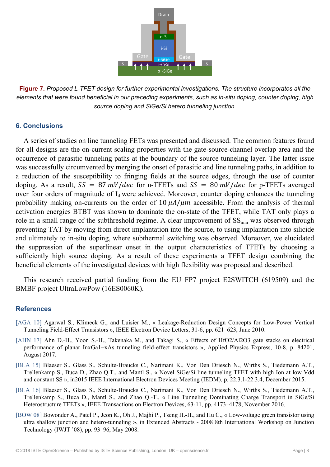

**Figure 7.** *Proposed L-TFET design for further experimental investigations. The structure incorporates all the elements that were found beneficial in our preceding experiments, such as in-situ doping, counter doping, high source doping and SiGe/Si hetero tunneling junction.* 

# **6. Conclusions**

A series of studies on line tunneling FETs was presented and discussed. The common features found for all designs are the on-current scaling properties with the gate-source-channel overlap area and the occurrence of parasitic tunneling paths at the boundary of the source tunneling layer. The latter issue was successfully circumvented by merging the onset of parasitic and line tunneling paths, in addition to a reduction of the susceptibility to fringing fields at the source edges, through the use of counter doping. As a result,  $SS = 87 \frac{mV}{dec}$  for n-TFETs and  $SS = 80 \frac{mV}{dec}$  for p-TFETs averaged over four orders of magnitude of  $I_d$  were achieved. Moreover, counter doping enhances the tunneling probability making on-currents on the order of  $10 \mu A/\mu m$  accessible. From the analysis of thermal activation energies BTBT was shown to dominate the on-state of the TFET, while TAT only plays a role in a small range of the subthreshold regime. A clear improvement of  $SS_{min}$  was observed through preventing TAT by moving from direct implantation into the source, to using implantation into silicide and ultimately to in-situ doping, where subthermal switching was observed. Moreover, we elucidated the suppression of the superlinear onset in the output characteristics of TFETs by choosing a sufficiently high source doping. As a result of these experiments a TFET design combining the beneficial elements of the investigated devices with high flexibility was proposed and described.

This research received partial funding from the EU FP7 project E2SWITCH (619509) and the BMBF project UltraLowPow (16ES0060K).

# **References**

- [AGA 10] Agarwal S., Klimeck G., and Luisier M., « Leakage-Reduction Design Concepts for Low-Power Vertical Tunneling Field-Effect Transistors », IEEE Electron Device Letters, 31-6, pp. 621–623, June 2010.
- [AHN 17] Ahn D.-H., Yoon S.-H., Takenaka M., and Takagi S., « Effects of HfO2/Al2O3 gate stacks on electrical performance of planar InxGa1−xAs tunneling field-effect transistors », Applied Physics Express, 10-8, p. 84201, August 2017.
- [BLA 15] Blaeser S., Glass S., Schulte-Braucks C., Narimani K., Von Den Driesch N., Wirths S., Tiedemann A.T., Trellenkamp S., Buca D., Zhao Q.T., and Mantl S., « Novel SiGe/Si line tunneling TFET with high Ion at low Vdd and constant SS », in2015 IEEE International Electron Devices Meeting (IEDM), p. 22.3.1-22.3.4, December 2015.
- [BLA 16] Blaeser S., Glass S., Schulte-Braucks C., Narimani K., Von Den Driesch N., Wirths S., Tiedemann A.T., Trellenkamp S., Buca D., Mantl S., and Zhao Q.-T., « Line Tunneling Dominating Charge Transport in SiGe/Si Heterostructure TFETs », IEEE Transactions on Electron Devices, 63-11, pp. 4173–4178, November 2016.
- [BOW 08] Bowonder A., Patel P., Jeon K., Oh J., Majhi P., Tseng H.-H., and Hu C., « Low-voltage green transistor using ultra shallow junction and hetero-tunneling », in Extended Abstracts - 2008 8th International Workshop on Junction Technology (IWJT '08), pp. 93–96, May 2008.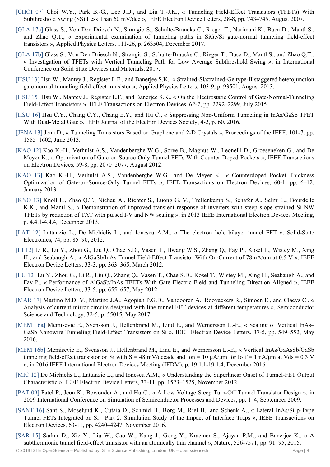- [CHOI 07] Choi W.Y., Park B.-G., Lee J.D., and Liu T.-J.K., « Tunneling Field-Effect Transistors (TFETs) With Subthreshold Swing (SS) Less Than 60 mV/dec », IEEE Electron Device Letters, 28-8, pp. 743–745, August 2007.
- [GLA 17a] Glass S., Von Den Driesch N., Strangio S., Schulte-Braucks C., Rieger T., Narimani K., Buca D., Mantl S., and Zhao Q.T., « Experimental examination of tunneling paths in SiGe/Si gate-normal tunneling field-effect transistors », Applied Physics Letters, 111-26, p. 263504, December 2017.
- [GLA 17b] Glass S., Von Den Driesch N., Strangio S., Schulte-Braucks C., Rieger T., Buca D., Mantl S., and Zhao Q.T., « Investigation of TFETs with Vertical Tunneling Path for Low Average Subthreshold Swing », in International Conference on Solid State Devices and Materials, 2017.
- [HSU 13] Hsu W., Mantey J., Register L.F., and Banerjee S.K., « Strained-Si/strained-Ge type-II staggered heterojunction gate-normal-tunneling field-effect transistor », Applied Physics Letters, 103-9, p. 93501, August 2013.
- [HSU 15] Hsu W., Mantey J., Register L.F., and Banerjee S.K., « On the Electrostatic Control of Gate-Normal-Tunneling Field-Effect Transistors », IEEE Transactions on Electron Devices, 62-7, pp. 2292–2299, July 2015.
- [HSU 16] Hsu C.Y., Chang C.Y., Chang E.Y., and Hu C., « Suppressing Non-Uniform Tunneling in InAs/GaSb TFET With Dual-Metal Gate », IEEE Journal of the Electron Devices Society, 4-2, p. 60, 2016.
- [JENA 13] Jena D., « Tunneling Transistors Based on Graphene and 2-D Crystals », Proceedings of the IEEE, 101-7, pp. 1585–1602, June 2013.
- [KAO 12] Kao K.-H., Verhulst A.S., Vandenberghe W.G., Soree B., Magnus W., Leonelli D., Groeseneken G., and De Meyer K., « Optimization of Gate-on-Source-Only Tunnel FETs With Counter-Doped Pockets », IEEE Transactions on Electron Devices, 59-8, pp. 2070–2077, August 2012.
- [KAO 13] Kao K.-H., Verhulst A.S., Vandenberghe W.G., and De Meyer K., « Counterdoped Pocket Thickness Optimization of Gate-on-Source-Only Tunnel FETs », IEEE Transactions on Electron Devices, 60-1, pp. 6–12, January 2013.
- [KNO 13] Knoll L., Zhao Q.T., Nichau A., Richter S., Luong G. V., Trellenkamp S., Schafer A., Selmi L., Bourdelle K.K., and Mantl S., « Demonstration of improved transient response of inverters with steep slope strained Si NW TFETs by reduction of TAT with pulsed I-V and NW scaling », in 2013 IEEE International Electron Devices Meeting, p. 4.4.1-4.4.4, December 2013.
- [LAT 12] Lattanzio L., De Michielis L., and Ionescu A.M., « The electron–hole bilayer tunnel FET », Solid-State Electronics, 74, pp. 85–90, 2012.
- [LI 12] Li R., Lu Y., Zhou G., Liu Q., Chae S.D., Vasen T., Hwang W.S., Zhang Q., Fay P., Kosel T., Wistey M., Xing H., and Seabaugh A., « AlGaSb/InAs Tunnel Field-Effect Transistor With On-Current of 78 uA/um at 0.5 V », IEEE Electron Device Letters, 33-3, pp. 363–365, March 2012.
- [LU 12] Lu Y., Zhou G., Li R., Liu Q., Zhang Q., Vasen T., Chae S.D., Kosel T., Wistey M., Xing H., Seabaugh A., and Fay P., « Performance of AlGaSb/InAs TFETs With Gate Electric Field and Tunneling Direction Aligned », IEEE Electron Device Letters, 33-5, pp. 655–657, May 2012.
- [MAR 17] Martino M.D. V., Martino J.A., Agopian P.G.D., Vandooren A., Rooyackers R., Simoen E., and Claeys C., « Analysis of current mirror circuits designed with line tunnel FET devices at different temperatures », Semiconductor Science and Technology, 32-5, p. 55015, May 2017.
- [MEM 16a] Memisevic E., Svensson J., Hellenbrand M., Lind E., and Wernersson L.-E., « Scaling of Vertical InAs– GaSb Nanowire Tunneling Field-Effect Transistors on Si », IEEE Electron Device Letters, 37-5, pp. 549–552, May 2016.
- [MEM 16b] Memisevic E., Svensson J., Hellenbrand M., Lind E., and Wernersson L.-E., « Vertical InAs/GaAsSb/GaSb tunneling field-effect transistor on Si with  $S = 48$  mV/decade and Ion = 10  $\mu$ A/ $\mu$ m for Ioff = 1 nA/ $\mu$ m at Vds = 0.3 V », in 2016 IEEE International Electron Devices Meeting (IEDM), p. 19.1.1-19.1.4, December 2016.
- [MIC 12] De Michielis L., Lattanzio L., and Ionescu A.M., « Understanding the Superlinear Onset of Tunnel-FET Output Characteristic », IEEE Electron Device Letters, 33-11, pp. 1523–1525, November 2012.
- [PAT 09] Patel P., Jeon K., Bowonder A., and Hu C., « A Low Voltage Steep Turn-Off Tunnel Transistor Design », in 2009 International Conference on Simulation of Semiconductor Processes and Devices, pp. 1–4, September 2009.
- [SANT 16] Sant S., Moselund K., Cutaia D., Schmid H., Borg M., Riel H., and Schenk A., « Lateral InAs/Si p-Type Tunnel FETs Integrated on Si—Part 2: Simulation Study of the Impact of Interface Traps », IEEE Transactions on Electron Devices, 63-11, pp. 4240–4247, November 2016.
- [SAR 15] Sarkar D., Xie X., Liu W., Cao W., Kang J., Gong Y., Kraemer S., Ajayan P.M., and Banerjee K., « A subthermionic tunnel field-effect transistor with an atomically thin channel », Nature, 526-7571, pp. 91–95, 2015.